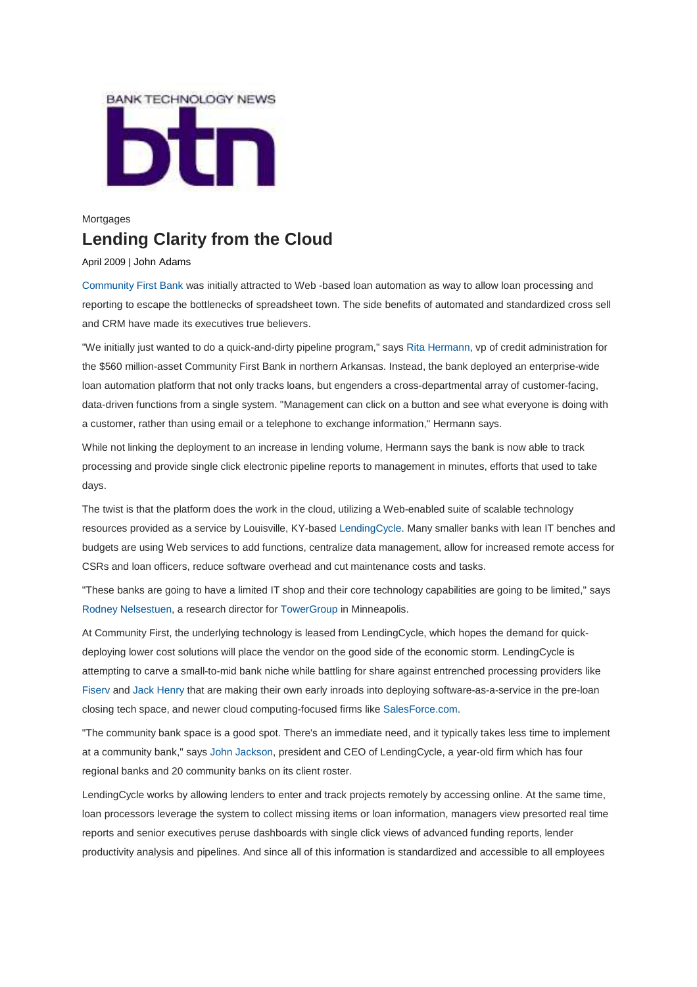

## Mortgages **Lending Clarity from the Cloud**

## April 2009 | John Adams

Community First Bank was initially attracted to Web -based loan automation as way to allow loan processing and reporting to escape the bottlenecks of spreadsheet town. The side benefits of automated and standardized cross sell and CRM have made its executives true believers.

"We initially just wanted to do a quick-and-dirty pipeline program," says Rita Hermann, vp of credit administration for the \$560 million-asset Community First Bank in northern Arkansas. Instead, the bank deployed an enterprise-wide loan automation platform that not only tracks loans, but engenders a cross-departmental array of customer-facing, data-driven functions from a single system. "Management can click on a button and see what everyone is doing with a customer, rather than using email or a telephone to exchange information," Hermann says.

While not linking the deployment to an increase in lending volume, Hermann says the bank is now able to track processing and provide single click electronic pipeline reports to management in minutes, efforts that used to take days.

The twist is that the platform does the work in the cloud, utilizing a Web-enabled suite of scalable technology resources provided as a service by Louisville, KY-based LendingCycle. Many smaller banks with lean IT benches and budgets are using Web services to add functions, centralize data management, allow for increased remote access for CSRs and loan officers, reduce software overhead and cut maintenance costs and tasks.

"These banks are going to have a limited IT shop and their core technology capabilities are going to be limited," says Rodney Nelsestuen, a research director for TowerGroup in Minneapolis.

At Community First, the underlying technology is leased from LendingCycle, which hopes the demand for quickdeploying lower cost solutions will place the vendor on the good side of the economic storm. LendingCycle is attempting to carve a small-to-mid bank niche while battling for share against entrenched processing providers like Fiserv and Jack Henry that are making their own early inroads into deploying software-as-a-service in the pre-loan closing tech space, and newer cloud computing-focused firms like SalesForce.com.

"The community bank space is a good spot. There's an immediate need, and it typically takes less time to implement at a community bank," says John Jackson, president and CEO of LendingCycle, a year-old firm which has four regional banks and 20 community banks on its client roster.

LendingCycle works by allowing lenders to enter and track projects remotely by accessing online. At the same time, loan processors leverage the system to collect missing items or loan information, managers view presorted real time reports and senior executives peruse dashboards with single click views of advanced funding reports, lender productivity analysis and pipelines. And since all of this information is standardized and accessible to all employees